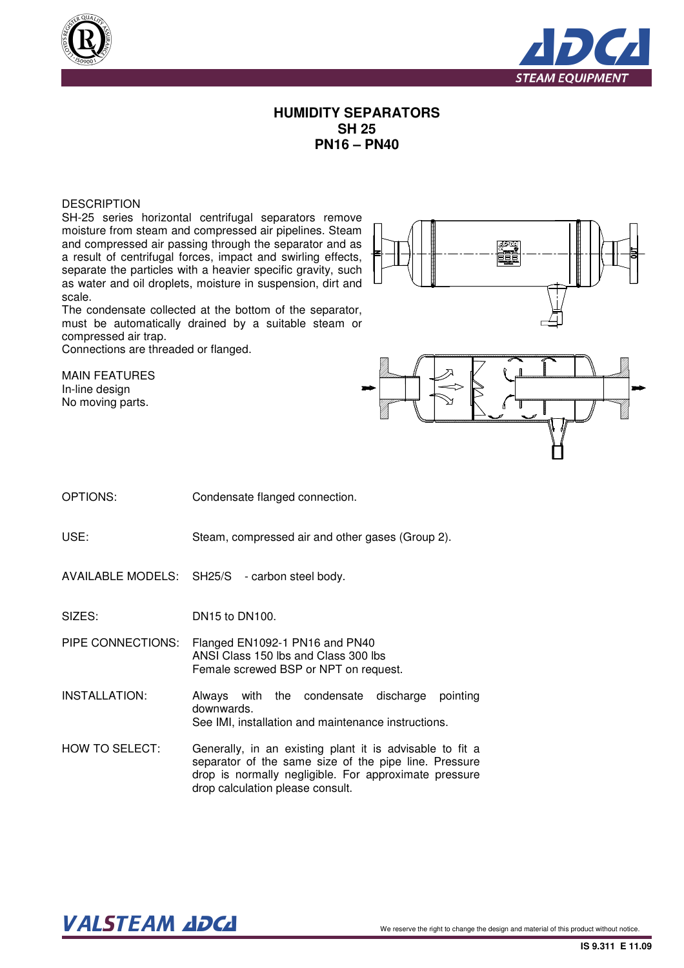



## **HUMIDITY SEPARATORS SH 25 PN16 – PN40**

## **DESCRIPTION**

SH-25 series horizontal centrifugal separators remove moisture from steam and compressed air pipelines. Steam and compressed air passing through the separator and as a result of centrifugal forces, impact and swirling effects, separate the particles with a heavier specific gravity, such as water and oil droplets, moisture in suspension, dirt and scale.

The condensate collected at the bottom of the separator, must be automatically drained by a suitable steam or compressed air trap.

Connections are threaded or flanged.

MAIN FEATURES In-line design No moving parts.





OPTIONS: Condensate flanged connection.

USE: Steam, compressed air and other gases (Group 2).

AVAILABLE MODELS: SH25/S - carbon steel body.

SIZES: DN15 to DN100.

PIPE CONNECTIONS: Flanged EN1092-1 PN16 and PN40 ANSI Class 150 lbs and Class 300 lbs Female screwed BSP or NPT on request.

INSTALLATION: Always with the condensate discharge pointing downwards. See IMI, installation and maintenance instructions.

HOW TO SELECT: Generally, in an existing plant it is advisable to fit a separator of the same size of the pipe line. Pressure drop is normally negligible. For approximate pressure drop calculation please consult.

## $\bm{VALSTEAM}$  and  $\bm{DCL}$  we reserve the right to change the design and material of this product without notice.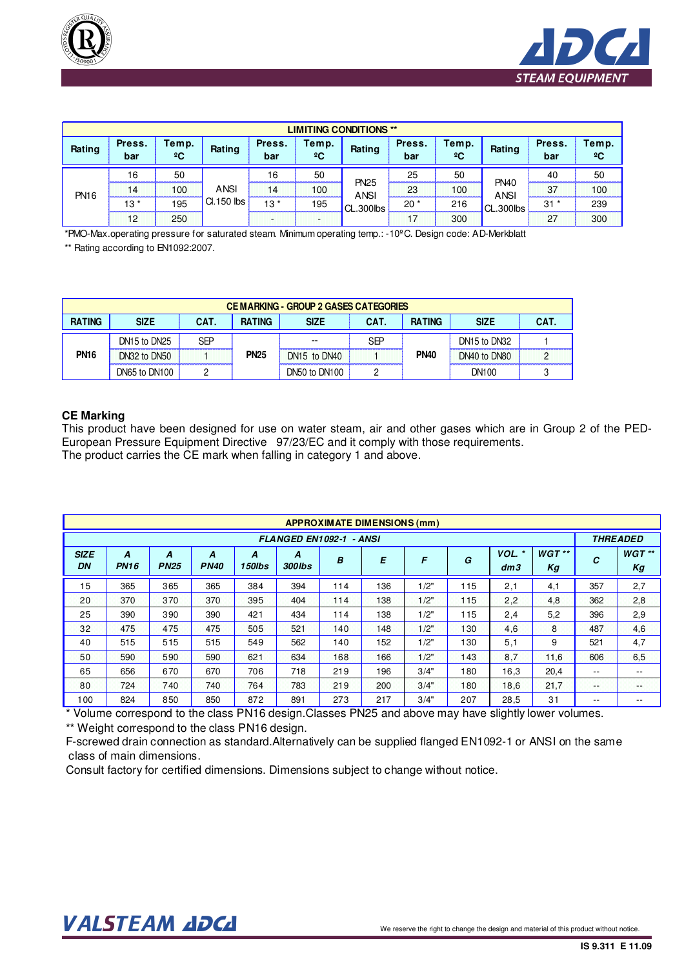



| <b>LIMITING CONDITIONS **</b> |               |                       |                           |               |                       |                                         |               |                       |                                         |               |             |  |
|-------------------------------|---------------|-----------------------|---------------------------|---------------|-----------------------|-----------------------------------------|---------------|-----------------------|-----------------------------------------|---------------|-------------|--|
| Rating                        | Press.<br>bar | Temp.<br>$^{\circ}$ C | Rating                    | Press.<br>bar | Temp.<br>$^{\circ}$ C | Rating                                  | Press.<br>bar | Temp.<br>$^{\circ}$ C | Rating                                  | Press.<br>bar | Temp.<br>ºC |  |
| <b>PN16</b>                   | 16            | 50                    | <b>ANSI</b><br>CI.150 lbs | 16            | 50                    | <b>PN25</b><br><b>ANSI</b><br>CL.300lbs | 25            | 50                    | <b>PN40</b><br><b>ANSI</b><br>CL.300lbs | 40            | 50          |  |
|                               |               | 100                   |                           |               | 100                   |                                         | 23            | 100                   |                                         | 37            | 100         |  |
|                               | $13*$         | 195                   |                           | $13*$         | 195                   |                                         | $20^{\star}$  | 216                   |                                         | 31            | 239         |  |
|                               | 12            | 250                   |                           |               |                       |                                         |               | 300                   |                                         | 27            | 300         |  |

\*PMO-Max.operating pressure for saturated steam. Minimum operating temp.: -10ºC. Design code: AD-Merkblatt

\*\* Rating according to EN1092:2007.

| <b>CEMARKING - GROUP 2 GASES CATEGORIES</b> |               |      |               |               |      |               |                                      |      |  |  |  |
|---------------------------------------------|---------------|------|---------------|---------------|------|---------------|--------------------------------------|------|--|--|--|
| <b>RATING</b>                               | <b>SIZE</b>   | CAT. | <b>RATING</b> | <b>SIZE</b>   | CAT. | <b>RATING</b> | <b>SIZE</b>                          | CAT. |  |  |  |
| <b>PN16</b>                                 | DN15 to DN25  | SEP  |               | --            | SEP  | <b>PN40</b>   | DN <sub>15</sub> to DN <sub>32</sub> |      |  |  |  |
|                                             | DN32 to DN50  |      | <b>PN25</b>   | DN15 to DN40  |      |               | DN40 to DN80                         |      |  |  |  |
|                                             | DN65 to DN100 |      |               | DN50 to DN100 |      |               | DN100                                |      |  |  |  |

## **CE Marking**

This product have been designed for use on water steam, air and other gases which are in Group 2 of the PED-European Pressure Equipment Directive 97/23/EC and it comply with those requirements. The product carries the CE mark when falling in category 1 and above.

| <b>APPROXIMATE DIMENSIONS (mm)</b> |                  |                  |                  |             |              |     |                 |      |     |                 |               |         |                |
|------------------------------------|------------------|------------------|------------------|-------------|--------------|-----|-----------------|------|-----|-----------------|---------------|---------|----------------|
| FLANGED EN1092-1 - ANSI            |                  |                  |                  |             |              |     |                 |      |     | <b>THREADED</b> |               |         |                |
| <b>SIZE</b><br>DN                  | A<br><b>PN16</b> | A<br><b>PN25</b> | A<br><b>PN40</b> | A<br>150lbs | A<br>300 lbs | B   | E               | F    | G   | VOL.<br>dm3     | $WGT**$<br>Kg | C       | $WGT$ **<br>Kg |
| 15                                 | 365              | 365              | 365              | 384         | 394          | 114 | 136             | 1/2" | 115 | 2,1             | 4,1           | 357     | 2,7            |
| 20                                 | 370              | 370              | 370              | 395         | 404          | 114 | 138             | 1/2" | 115 | 2,2             | 4,8           | 362     | 2,8            |
| 25                                 | 390              | 390              | 390              | 421         | 434          | 114 | 138             | 1/2" | 115 | 2,4             | 5,2           | 396     | 2,9            |
| 32                                 | 475              | 475              | 475              | 505         | 521          | 140 | 148             | 1/2" | 130 | 4.6             | 8             | 487     | 4.6            |
| 40                                 | 515              | 515              | 515              | 549         | 562          | 140 | 152             | 1/2" | 130 | 5,1             | 9             | 521     | 4,7            |
| 50                                 | 590              | 590              | 590              | 621         | 634          | 168 | 166             | 1/2" | 143 | 8,7             | 11,6          | 606     | 6.5            |
| 65                                 | 656              | 670              | 670              | 706         | 718          | 219 | 196             | 3/4" | 180 | 16,3            | 20,4          | $- -$   | $- -$          |
| 80                                 | 724              | 740              | 740              | 764         | 783          | 219 | 200             | 3/4" | 180 | 18,6            | 21,7          | التوافق | <b>COLOR</b>   |
| 100                                | 824              | 850              | 850              | 872         | 891<br>- -   | 273 | 217<br>-- - - - | 3/4" | 207 | 28,5            | 31            | $- -$   | $- -$          |

\* Volume correspond to the class PN16 design.Classes PN25 and above may have slightly lower volumes. \*\* Weight correspond to the class PN16 design.

 class of main dimensions. F-screwed drain connection as standard.Alternatively can be supplied flanged EN1092-1 or ANSI on the same

Consult factory for certified dimensions. Dimensions subject to change without notice.